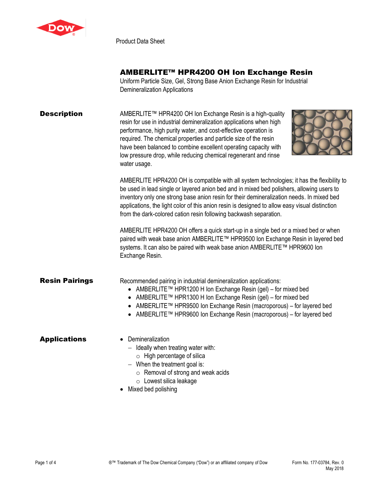

Product Data Sheet

## AMBERLITE™ HPR4200 OH Ion Exchange Resin

Uniform Particle Size, Gel, Strong Base Anion Exchange Resin for Industrial Demineralization Applications

| <b>Description</b> | AMBERLITE™ HPR4200 OH Ion Exchange Resin is a high-quality          |
|--------------------|---------------------------------------------------------------------|
|                    | resin for use in industrial demineralization applications when high |
|                    | performance, high purity water, and cost-effective operation is     |
|                    | required. The chemical properties and particle size of the resin    |
|                    | have been balanced to combine excellent operating capacity with     |
|                    | low pressure drop, while reducing chemical regenerant and rinse     |
|                    | water usage.                                                        |



AMBERLITE HPR4200 OH is compatible with all system technologies; it has the flexibility to be used in lead single or layered anion bed and in mixed bed polishers, allowing users to inventory only one strong base anion resin for their demineralization needs. In mixed bed applications, the light color of this anion resin is designed to allow easy visual distinction from the dark-colored cation resin following backwash separation.

AMBERLITE HPR4200 OH offers a quick start-up in a single bed or a mixed bed or when paired with weak base anion AMBERLITE™ HPR9500 Ion Exchange Resin in layered bed systems. It can also be paired with weak base anion AMBERLITE™ HPR9600 Ion Exchange Resin.

# **Resin Pairings** Recommended pairing in industrial demineralization applications:

- AMBERLITE™ HPR1200 H Ion Exchange Resin (gel) for mixed bed
- AMBERLITE™ HPR1300 H Ion Exchange Resin (gel) for mixed bed
- AMBERLITE™ HPR9500 Ion Exchange Resin (macroporous) for layered bed
- AMBERLITE™ HPR9600 Ion Exchange Resin (macroporous) for layered bed

#### Applications • Demineralization

- − Ideally when treating water with:
	- $\circ$  High percentage of silica
- − When the treatment goal is:
	- o Removal of strong and weak acids
	- o Lowest silica leakage
- Mixed bed polishing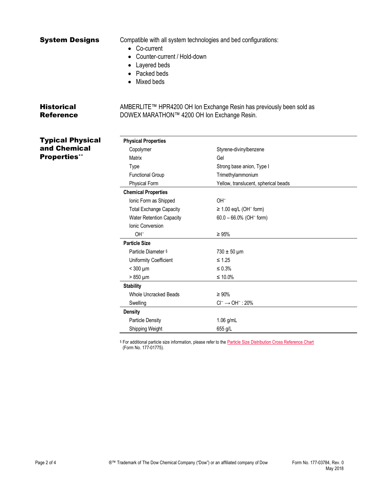| System Designs                        | • Co-current<br>Counter-current / Hold-down<br>Layered beds<br>Packed beds<br>Mixed beds | Compatible with all system technologies and bed configurations:      |  |
|---------------------------------------|------------------------------------------------------------------------------------------|----------------------------------------------------------------------|--|
| <b>Historical</b><br><b>Reference</b> | DOWEX MARATHON™ 4200 OH Ion Exchange Resin.                                              | AMBERLITE™ HPR4200 OH Ion Exchange Resin has previously been sold as |  |
| <b>Typical Physical</b>               | <b>Physical Properties</b>                                                               |                                                                      |  |
| and Chemical                          | Copolymer                                                                                | Styrene-divinylbenzene                                               |  |
| <b>Properties**</b>                   | Matrix                                                                                   | Gel                                                                  |  |
|                                       | Type                                                                                     | Strong base anion, Type I                                            |  |
|                                       | <b>Functional Group</b>                                                                  | Trimethylammonium                                                    |  |
|                                       | <b>Physical Form</b>                                                                     | Yellow, translucent, spherical beads                                 |  |
|                                       | <b>Chemical Properties</b>                                                               |                                                                      |  |
|                                       | Ionic Form as Shipped                                                                    | OH <sup>-</sup>                                                      |  |
|                                       | <b>Total Exchange Capacity</b>                                                           | $\geq$ 1.00 eq/L (OH <sup>-</sup> form)                              |  |
|                                       | Water Retention Capacity                                                                 | $60.0 - 66.0\%$ (OH <sup>-</sup> form)                               |  |
|                                       | Ionic Conversion                                                                         |                                                                      |  |
|                                       | OH <sup>-</sup>                                                                          | $\geq 95\%$                                                          |  |
|                                       | <b>Particle Size</b>                                                                     |                                                                      |  |
|                                       | Particle Diameter §                                                                      | $730 \pm 50 \,\mu m$                                                 |  |
|                                       | Uniformity Coefficient                                                                   | $\leq$ 1.25                                                          |  |
|                                       | $<$ 300 $\mu$ m                                                                          | $\leq 0.3\%$                                                         |  |
|                                       | $>850 \mu m$                                                                             | ≤ 10.0%                                                              |  |
|                                       | <b>Stability</b>                                                                         |                                                                      |  |
|                                       | Whole Uncracked Beads                                                                    | $\geq 90\%$                                                          |  |
|                                       | Swelling                                                                                 | $Cl^- \rightarrow OH^-$ : 20%                                        |  |
|                                       | <b>Density</b>                                                                           |                                                                      |  |
|                                       | <b>Particle Density</b>                                                                  | 1.06 g/mL                                                            |  |

§ For additional particle size information, please refer to th[e Particle Size Distribution Cross Reference Chart](http://www.dow.com/webapps/include/GetDoc.aspx?filepath=liquidseps/pdfs/noreg/177-01775.pdf) (Form No. 177-01775).

Shipping Weight 655 g/L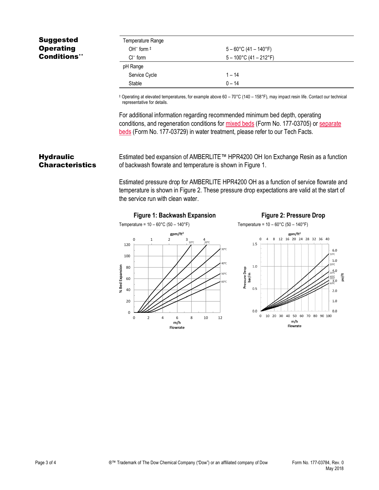## Suggested **Operating** Conditions\*\*

| Temperature Range |                                  |
|-------------------|----------------------------------|
| OH $-$ form $\pm$ | $5 - 60^{\circ}$ C (41 – 140°F)  |
| $Cl^-$ form       | $5 - 100^{\circ}$ C (41 – 212°F) |
| pH Range          |                                  |
| Service Cycle     | $1 - 14$                         |
| Stable            | $0 - 14$                         |

‡ Operating at elevated temperatures, for example above 60 – 70°C (140 – 158°F), may impact resin life. Contact our technical representative for details.

For additional information regarding recommended minimum bed depth, operating conditions, and regeneration conditions for [mixed beds](http://www.dow.com/webapps/include/GetDoc.aspx?filepath=liquidseps/pdfs/noreg/177-03705.pdf) (Form No. 177-03705) or [separate](http://www.dow.com/webapps/include/GetDoc.aspx?filepath=liquidseps/pdfs/noreg/177-03729.pdf)  [beds](http://www.dow.com/webapps/include/GetDoc.aspx?filepath=liquidseps/pdfs/noreg/177-03729.pdf) (Form No. 177-03729) in water treatment, please refer to our Tech Facts.

### **Hydraulic Characteristics**

Estimated bed expansion of AMBERLITE™ HPR4200 OH Ion Exchange Resin as a function of backwash flowrate and temperature is shown in Figure 1.

Estimated pressure drop for AMBERLITE HPR4200 OH as a function of service flowrate and temperature is shown in Figure 2. These pressure drop expectations are valid at the start of the service run with clean water.